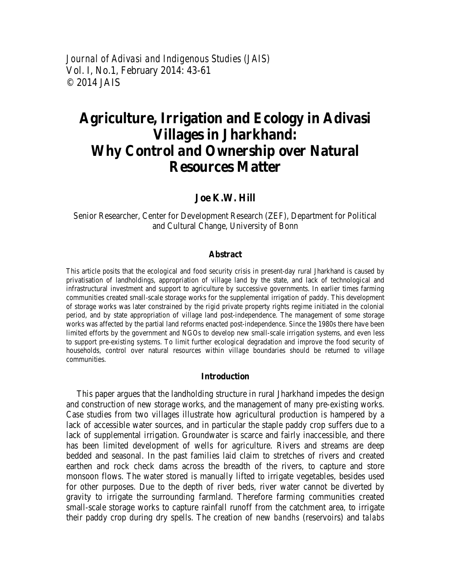*Journal of Adivasi and Indigenous Studies (JAIS)*  Vol. I, No.1, February 2014: 43-61 © 2014 JAIS

# **Agriculture, Irrigation and Ecology in Adivasi Villages in Jharkhand: Why Control and Ownership over Natural Resources Matter**

# **Joe K.W. Hill**

Senior Researcher, Center for Development Research (ZEF), Department for Political and Cultural Change, University of Bonn

#### **Abstract**

This article posits that the ecological and food security crisis in present-day rural Jharkhand is caused by privatisation of landholdings, appropriation of village land by the state, and lack of technological and infrastructural investment and support to agriculture by successive governments. In earlier times farming communities created small-scale storage works for the supplemental irrigation of paddy. This development of storage works was later constrained by the rigid private property rights regime initiated in the colonial period, and by state appropriation of village land post-independence. The management of some storage works was affected by the partial land reforms enacted post-independence. Since the 1980s there have been limited efforts by the government and NGOs to develop new small-scale irrigation systems, and even less to support pre-existing systems. To limit further ecological degradation and improve the food security of households, control over natural resources within village boundaries should be returned to village communities.

#### **Introduction**

This paper argues that the landholding structure in rural Jharkhand impedes the design and construction of new storage works, and the management of many pre-existing works. Case studies from two villages illustrate how agricultural production is hampered by a lack of accessible water sources, and in particular the staple paddy crop suffers due to a lack of supplemental irrigation. Groundwater is scarce and fairly inaccessible, and there has been limited development of wells for agriculture. Rivers and streams are deep bedded and seasonal. In the past families laid claim to stretches of rivers and created earthen and rock check dams across the breadth of the rivers, to capture and store monsoon flows. The water stored is manually lifted to irrigate vegetables, besides used for other purposes. Due to the depth of river beds, river water cannot be diverted by gravity to irrigate the surrounding farmland. Therefore farming communities created small-scale storage works to capture rainfall runoff from the catchment area, to irrigate their paddy crop during dry spells. The creation of new *bandhs* (reservoirs) and *talabs*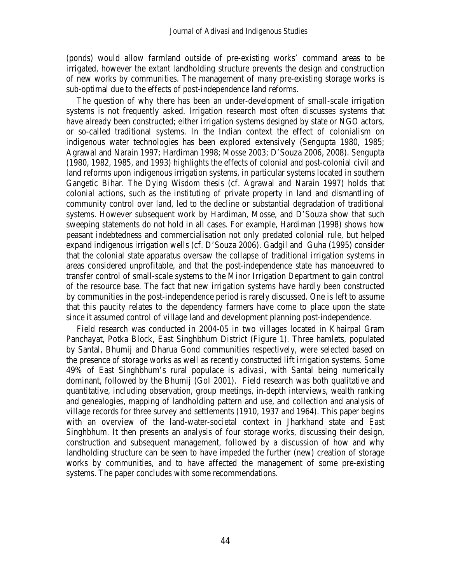(ponds) would allow farmland outside of pre-existing works' command areas to be irrigated, however the extant landholding structure prevents the design and construction of new works by communities. The management of many pre-existing storage works is sub-optimal due to the effects of post-independence land reforms.

The question of why there has been an under-development of small-scale irrigation systems is not frequently asked. Irrigation research most often discusses systems that have already been constructed; either irrigation systems designed by state or NGO actors, or so-called traditional systems. In the Indian context the effect of colonialism on indigenous water technologies has been explored extensively (Sengupta 1980, 1985; Agrawal and Narain 1997; Hardiman 1998; Mosse 2003; D'Souza 2006, 2008). Sengupta (1980, 1982, 1985, and 1993) highlights the effects of colonial and post-colonial civil and land reforms upon indigenous irrigation systems, in particular systems located in southern Gangetic Bihar. The *Dying Wisdom* thesis (cf. Agrawal and Narain 1997) holds that colonial actions, such as the instituting of private property in land and dismantling of community control over land, led to the decline or substantial degradation of traditional systems. However subsequent work by Hardiman, Mosse, and D'Souza show that such sweeping statements do not hold in all cases. For example, Hardiman (1998) shows how peasant indebtedness and commercialisation not only predated colonial rule, but helped expand indigenous irrigation wells (cf. D'Souza 2006). Gadgil and Guha (1995) consider that the colonial state apparatus oversaw the collapse of traditional irrigation systems in areas considered unprofitable, and that the post-independence state has manoeuvred to transfer control of small-scale systems to the Minor Irrigation Department to gain control of the resource base. The fact that new irrigation systems have hardly been constructed by communities in the post-independence period is rarely discussed. One is left to assume that this paucity relates to the dependency farmers have come to place upon the state since it assumed control of village land and development planning post-independence.

Field research was conducted in 2004-05 in two villages located in Khairpal Gram Panchayat, Potka Block, East Singhbhum District (Figure 1). Three hamlets, populated by Santal, Bhumij and Dharua Gond communities respectively, were selected based on the presence of storage works as well as recently constructed lift irrigation systems. Some 49% of East Singhbhum's rural populace is *adivasi*, with Santal being numerically dominant, followed by the Bhumij (GoI 2001). Field research was both qualitative and quantitative, including observation, group meetings, in-depth interviews, wealth ranking and genealogies, mapping of landholding pattern and use, and collection and analysis of village records for three survey and settlements (1910, 1937 and 1964). This paper begins with an overview of the land-water-societal context in Jharkhand state and East Singhbhum. It then presents an analysis of four storage works, discussing their design, construction and subsequent management, followed by a discussion of how and why landholding structure can be seen to have impeded the further (new) creation of storage works by communities, and to have affected the management of some pre-existing systems. The paper concludes with some recommendations.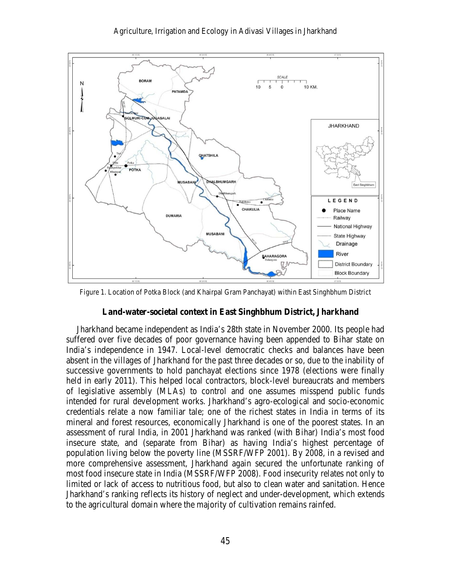

Figure 1. Location of Potka Block (and Khairpal Gram Panchayat) within East Singhbhum District

## **Land-water-societal context in East Singhbhum District, Jharkhand**

Jharkhand became independent as India's 28th state in November 2000. Its people had suffered over five decades of poor governance having been appended to Bihar state on India's independence in 1947. Local-level democratic checks and balances have been absent in the villages of Jharkhand for the past three decades or so, due to the inability of successive governments to hold panchayat elections since 1978 (elections were finally held in early 2011). This helped local contractors, block-level bureaucrats and members of legislative assembly (MLAs) to control and one assumes misspend public funds intended for rural development works. Jharkhand's agro-ecological and socio-economic credentials relate a now familiar tale; one of the richest states in India in terms of its mineral and forest resources, economically Jharkhand is one of the poorest states. In an assessment of rural India, in 2001 Jharkhand was ranked (with Bihar) India's most food insecure state, and (separate from Bihar) as having India's highest percentage of population living below the poverty line (MSSRF/WFP 2001). By 2008, in a revised and more comprehensive assessment, Jharkhand again secured the unfortunate ranking of most food insecure state in India (MSSRF/WFP 2008). Food insecurity relates not only to limited or lack of access to nutritious food, but also to clean water and sanitation. Hence Jharkhand's ranking reflects its history of neglect and under-development, which extends to the agricultural domain where the majority of cultivation remains rainfed.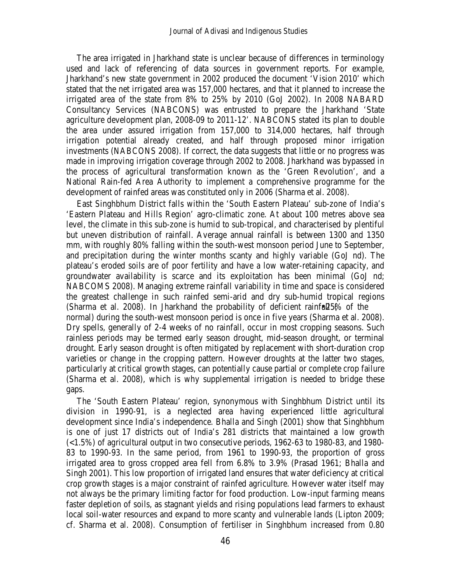The area irrigated in Jharkhand state is unclear because of differences in terminology used and lack of referencing of data sources in government reports. For example, Jharkhand's new state government in 2002 produced the document 'Vision 2010' which stated that the net irrigated area was 157,000 hectares, and that it planned to increase the irrigated area of the state from 8% to 25% by 2010 (GoJ 2002). In 2008 NABARD Consultancy Services (NABCONS) was entrusted to prepare the Jharkhand 'State agriculture development plan, 2008-09 to 2011-12'. NABCONS stated its plan to double the area under assured irrigation from 157,000 to 314,000 hectares, half through irrigation potential already created, and half through proposed minor irrigation investments (NABCONS 2008). If correct, the data suggests that little or no progress was made in improving irrigation coverage through 2002 to 2008. Jharkhand was bypassed in the process of agricultural transformation known as the 'Green Revolution', and a National Rain-fed Area Authority to implement a comprehensive programme for the development of rainfed areas was constituted only in 2006 (Sharma et al. 2008).

East Singhbhum District falls within the 'South Eastern Plateau' sub-zone of India's 'Eastern Plateau and Hills Region' agro-climatic zone. At about 100 metres above sea level, the climate in this sub-zone is humid to sub-tropical, and characterised by plentiful but uneven distribution of rainfall. Average annual rainfall is between 1300 and 1350 mm, with roughly 80% falling within the south-west monsoon period June to September, and precipitation during the winter months scanty and highly variable (GoJ nd). The plateau's eroded soils are of poor fertility and have a low water-retaining capacity, and groundwater availability is scarce and its exploitation has been minimal (GoJ nd; NABCOMS 2008). Managing extreme rainfall variability in time and space is considered the greatest challenge in such rainfed semi-arid and dry sub-humid tropical regions (Sharma et al. 2008). In Jharkhand the probability of deficient rainfall  $5\%$  of the normal) during the south-west monsoon period is once in five years (Sharma et al. 2008). Dry spells, generally of 2-4 weeks of no rainfall, occur in most cropping seasons. Such rainless periods may be termed early season drought, mid-season drought, or terminal drought. Early season drought is often mitigated by replacement with short-duration crop varieties or change in the cropping pattern. However droughts at the latter two stages, particularly at critical growth stages, can potentially cause partial or complete crop failure (Sharma et al. 2008), which is why supplemental irrigation is needed to bridge these gaps.

The 'South Eastern Plateau' region, synonymous with Singhbhum District until its division in 1990-91, is a neglected area having experienced little agricultural development since India's independence. Bhalla and Singh (2001) show that Singhbhum is one of just 17 districts out of India's 281 districts that maintained a low growth  $(\leq 1.5\%)$  of agricultural output in two consecutive periods, 1962-63 to 1980-83, and 1980-83 to 1990-93. In the same period, from 1961 to 1990-93, the proportion of gross irrigated area to gross cropped area fell from 6.8% to 3.9% (Prasad 1961; Bhalla and Singh 2001). This low proportion of irrigated land ensures that water deficiency at critical crop growth stages is a major constraint of rainfed agriculture. However water itself may not always be the primary limiting factor for food production. Low-input farming means faster depletion of soils, as stagnant yields and rising populations lead farmers to exhaust local soil-water resources and expand to more scanty and vulnerable lands (Lipton 2009; cf. Sharma et al. 2008). Consumption of fertiliser in Singhbhum increased from 0.80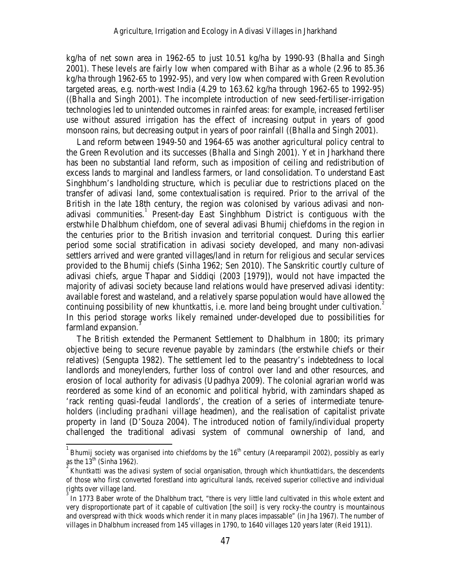kg/ha of net sown area in 1962-65 to just 10.51 kg/ha by 1990-93 (Bhalla and Singh 2001). These levels are fairly low when compared with Bihar as a whole (2.96 to 85.36 kg/ha through 1962-65 to 1992-95), and very low when compared with Green Revolution targeted areas, e.g. north-west India  $(4.29 \text{ to } 163.62 \text{ kg/ha}$  through 1962-65 to 1992-95) ((Bhalla and Singh 2001). The incomplete introduction of new seed-fertiliser-irrigation technologies led to unintended outcomes in rainfed areas: for example, increased fertiliser use without assured irrigation has the effect of increasing output in years of good monsoon rains, but decreasing output in years of poor rainfall ((Bhalla and Singh 2001).

Land reform between 1949-50 and 1964-65 was another agricultural policy central to the Green Revolution and its successes (Bhalla and Singh 2001). Yet in Jharkhand there has been no substantial land reform, such as imposition of ceiling and redistribution of excess lands to marginal and landless farmers, or land consolidation. To understand East Singhbhum's landholding structure, which is peculiar due to restrictions placed on the transfer of adivasi land, some contextualisation is required. Prior to the arrival of the British in the late 18th century, the region was colonised by various adivasi and non-adivasi communities.<sup>[1](#page-4-0)</sup> Present-day East Singhbhum District is contiguous with the erstwhile Dhalbhum chiefdom, one of several adivasi Bhumij chiefdoms in the region in the centuries prior to the British invasion and territorial conquest. During this earlier period some social stratification in adivasi society developed, and many non-adivasi settlers arrived and were granted villages/land in return for religious and secular services provided to the Bhumij chiefs (Sinha 1962; Sen 2010). The Sanskritic courtly culture of adivasi chiefs, argue Thapar and Siddiqi (2003 [1979]), would not have impacted the majority of adivasi society because land relations would have preserved adivasi identity: available forest and wasteland, and a relatively sparse population would have allowed the continuing possibility of new *khuntkattis*, i.e. more land being brought under cultivation.<sup>[2](#page-4-1)</sup> In this period storage works likely remained under-developed due to possibilities for farmland expansion.

The British extended the Permanent Settlement to Dhalbhum in 1800; its primary objective being to secure revenue payable by *zamindars* (the erstwhile chiefs or their relatives) (Sengupta 1982). The settlement led to the peasantry's indebtedness to local landlords and moneylenders, further loss of control over land and other resources, and erosion of local authority for adivasis (Upadhya 2009). The colonial agrarian world was reordered as some kind of an economic and political hybrid, with zamindars shaped as 'rack renting quasi-feudal landlords', the creation of a series of intermediate tenureholders (including *pradhani* village headmen), and the realisation of capitalist private property in land (D'Souza 2004). The introduced notion of family/individual property challenged the traditional adivasi system of communal ownership of land, and

<span id="page-4-0"></span> $\frac{1}{1}$ Bhumij society was organised into chiefdoms by the 16<sup>th</sup> century (Areeparampil 2002), possibly as early as the  $13<sup>th</sup>$  (Sinha 1962).

<span id="page-4-1"></span>*Khuntkatti* was the *adivasi* system of social organisation, through which *khuntkattidars*, the descendents of those who first converted forestland into agricultural lands, received superior collective and individual rights over village land.

<span id="page-4-2"></span>In 1773 Baber wrote of the Dhalbhum tract, "there is very little land cultivated in this whole extent and very disproportionate part of it capable of cultivation [the soil] is very rocky-the country is mountainous and overspread with thick woods which render it in many places impassable" (in Jha 1967). The number of villages in Dhalbhum increased from 145 villages in 1790, to 1640 villages 120 years later (Reid 1911).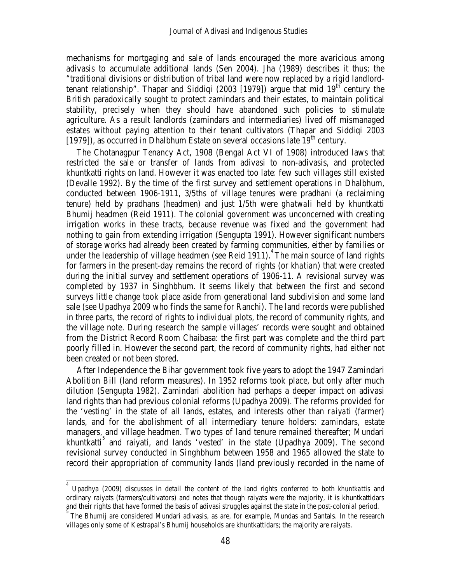mechanisms for mortgaging and sale of lands encouraged the more avaricious among adivasis to accumulate additional lands (Sen 2004). Jha (1989) describes it thus; the "traditional divisions or distribution of tribal land were now replaced by a rigid landlordtenant relationship". Thapar and Siddiqi (2003 [1979]) argue that mid  $19^{th}$  century the British paradoxically sought to protect zamindars and their estates, to maintain political stability, precisely when they should have abandoned such policies to stimulate agriculture. As a result landlords (zamindars and intermediaries) lived off mismanaged estates without paying attention to their tenant cultivators (Thapar and Siddiqi 2003 [1979]), as occurred in Dhalbhum Estate on several occasions late  $19<sup>th</sup>$  century.

The Chotanagpur Tenancy Act, 1908 (Bengal Act VI of 1908) introduced laws that restricted the sale or transfer of lands from adivasi to non-adivasis, and protected khuntkatti rights on land. However it was enacted too late: few such villages still existed (Devalle 1992). By the time of the first survey and settlement operations in Dhalbhum, conducted between 1906-1911, 3/5ths of village tenures were pradhani (a reclaiming tenure) held by pradhans (headmen) and just 1/5th were *ghatwali* held by khuntkatti Bhumij headmen (Reid 1911). The colonial government was unconcerned with creating irrigation works in these tracts, because revenue was fixed and the government had nothing to gain from extending irrigation (Sengupta 1991). However significant numbers of storage works had already been created by farming communities, either by families or under the leadership of village headmen (see Reid 1911). [4](#page-5-0) The main source of land rights for farmers in the present-day remains the record of rights (or *khatian*) that were created during the initial survey and settlement operations of 1906-11. A revisional survey was completed by 1937 in Singhbhum. It seems likely that between the first and second surveys little change took place aside from generational land subdivision and some land sale (see Upadhya 2009 who finds the same for Ranchi). The land records were published in three parts, the record of rights to individual plots, the record of community rights, and the village note. During research the sample villages' records were sought and obtained from the District Record Room Chaibasa: the first part was complete and the third part poorly filled in. However the second part, the record of community rights, had either not been created or not been stored.

After Independence the Bihar government took five years to adopt the 1947 Zamindari Abolition Bill (land reform measures). In 1952 reforms took place, but only after much dilution (Sengupta 1982). Zamindari abolition had perhaps a deeper impact on adivasi land rights than had previous colonial reforms (Upadhya 2009). The reforms provided for the 'vesting' in the state of all lands, estates, and interests other than *raiyati* (farmer) lands, and for the abolishment of all intermediary tenure holders: zamindars, estate managers, and village headmen. Two types of land tenure remained thereafter; Mundari khuntkatti<sup>[5](#page-5-1)</sup> and raiyati, and lands 'vested' in the state (Upadhya 2009). The second revisional survey conducted in Singhbhum between 1958 and 1965 allowed the state to record their appropriation of community lands (land previously recorded in the name of

<span id="page-5-0"></span>4 Upadhya (2009) discusses in detail the content of the land rights conferred to both *khuntkattis* and ordinary raiyats (farmers/cultivators) and notes that though raiyats were the majority, it is khuntkattidars and their rights that have formed the basis of adivasi struggles against the state in the post-colonial period. <sup>5</sup>

<span id="page-5-1"></span>The Bhumij are considered Mundari adivasis, as are, for example, Mundas and Santals. In the research villages only some of Kestrapal's Bhumij households are khuntkattidars; the majority are raiyats.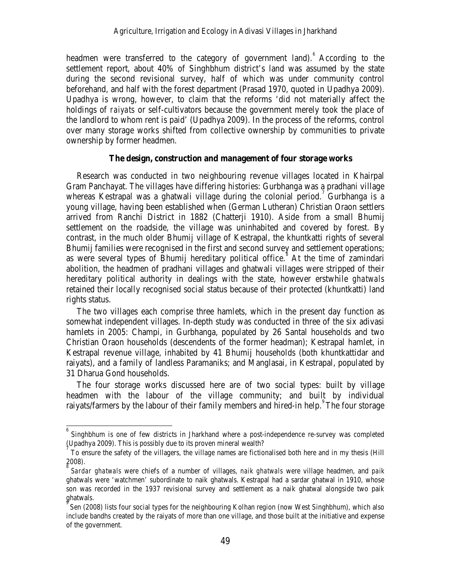headmen were transferred to the category of government land). According to the settlement report, about 40% of Singhbhum district's land was assumed by the state during the second revisional survey, half of which was under community control beforehand, and half with the forest department (Prasad 1970, quoted in Upadhya 2009). Upadhya is wrong, however, to claim that the reforms 'did not materially affect the holdings of *raiyats* or self-cultivators because the government merely took the place of the landlord to whom rent is paid' (Upadhya 2009). In the process of the reforms, control over many storage works shifted from collective ownership by communities to private ownership by former headmen.

## **The design, construction and management of four storage works**

Research was conducted in two neighbouring revenue villages located in Khairpal Gram Panchayat. The villages have differing histories: Gurbhanga was a pradhani village whereas Kestrapal was a ghatwali village during the colonial period.<sup>[7](#page-6-1)</sup> Gurbhanga is a young village, having been established when (German Lutheran) Christian Oraon settlers arrived from Ranchi District in 1882 (Chatterji 1910). Aside from a small Bhumij settlement on the roadside, the village was uninhabited and covered by forest. By contrast, in the much older Bhumij village of Kestrapal, the khuntkatti rights of several Bhumij families were recognised in the first and second survey and settlement operations; as were several types of Bhumij hereditary political office.<sup>[8](#page-6-2)</sup> At the time of zamindari abolition, the headmen of pradhani villages and ghatwali villages were stripped of their hereditary political authority in dealings with the state, however erstwhile *ghatwals*  retained their locally recognised social status because of their protected (khuntkatti) land rights status.

The two villages each comprise three hamlets, which in the present day function as somewhat independent villages. In-depth study was conducted in three of the six adivasi hamlets in 2005: Champi, in Gurbhanga, populated by 26 Santal households and two Christian Oraon households (descendents of the former headman); Kestrapal hamlet, in Kestrapal revenue village, inhabited by 41 Bhumij households (both khuntkattidar and raiyats), and a family of landless Paramaniks; and Manglasai, in Kestrapal, populated by 31 Dharua Gond households.

The four storage works discussed here are of two social types: built by village headmen with the labour of the village community; and built by individual raiyats/farmers by the labour of their family members and hired-in help. The four storage

<span id="page-6-0"></span>6 Singhbhum is one of few districts in Jharkhand where a post-independence re-survey was completed (Upadhya 2009). This is possibly due to its proven mineral wealth?

<span id="page-6-1"></span>To ensure the safety of the villagers, the village names are fictionalised both here and in my thesis (Hill 2008). 8

<span id="page-6-2"></span>*Sardar ghatwals* were chiefs of a number of villages, *naik ghatwals* were village headmen, and *paik* ghatwals were 'watchmen' subordinate to naik ghatwals. Kestrapal had a sardar ghatwal in 1910, whose son was recorded in the 1937 revisional survey and settlement as a naik ghatwal alongside two paik ghatwals.

<span id="page-6-3"></span>Sen (2008) lists four social types for the neighbouring Kolhan region (now West Singhbhum), which also include bandhs created by the raiyats of more than one village, and those built at the initiative and expense of the government.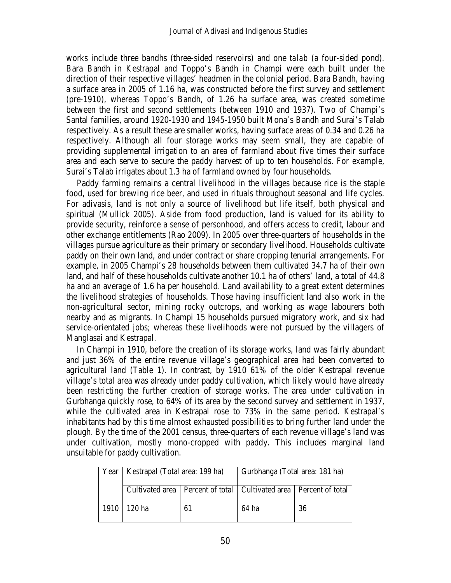works include three bandhs (three-sided reservoirs) and one *talab* (a four-sided pond). Bara Bandh in Kestrapal and Toppo's Bandh in Champi were each built under the direction of their respective villages' headmen in the colonial period. Bara Bandh, having a surface area in 2005 of 1.16 ha, was constructed before the first survey and settlement (pre-1910), whereas Toppo's Bandh, of 1.26 ha surface area, was created sometime between the first and second settlements (between 1910 and 1937). Two of Champi's Santal families, around 1920-1930 and 1945-1950 built Mona's Bandh and Surai's Talab respectively. As a result these are smaller works, having surface areas of 0.34 and 0.26 ha respectively. Although all four storage works may seem small, they are capable of providing supplemental irrigation to an area of farmland about five times their surface area and each serve to secure the paddy harvest of up to ten households. For example, Surai's Talab irrigates about 1.3 ha of farmland owned by four households.

Paddy farming remains a central livelihood in the villages because rice is the staple food, used for brewing rice beer, and used in rituals throughout seasonal and life cycles. For adivasis, land is not only a source of livelihood but life itself, both physical and spiritual (Mullick 2005). Aside from food production, land is valued for its ability to provide security, reinforce a sense of personhood, and offers access to credit, labour and other exchange entitlements (Rao 2009). In 2005 over three-quarters of households in the villages pursue agriculture as their primary or secondary livelihood. Households cultivate paddy on their own land, and under contract or share cropping tenurial arrangements. For example, in 2005 Champi's 28 households between them cultivated 34.7 ha of their own land, and half of these households cultivate another 10.1 ha of others' land, a total of 44.8 ha and an average of 1.6 ha per household. Land availability to a great extent determines the livelihood strategies of households. Those having insufficient land also work in the non-agricultural sector, mining rocky outcrops, and working as wage labourers both nearby and as migrants. In Champi 15 households pursued migratory work, and six had service-orientated jobs; whereas these livelihoods were not pursued by the villagers of Manglasai and Kestrapal.

In Champi in 1910, before the creation of its storage works, land was fairly abundant and just 36% of the entire revenue village's geographical area had been converted to agricultural land (Table 1). In contrast, by 1910 61% of the older Kestrapal revenue village's total area was already under paddy cultivation, which likely would have already been restricting the further creation of storage works. The area under cultivation in Gurbhanga quickly rose, to 64% of its area by the second survey and settlement in 1937, while the cultivated area in Kestrapal rose to 73% in the same period. Kestrapal's inhabitants had by this time almost exhausted possibilities to bring further land under the plough. By the time of the 2001 census, three-quarters of each revenue village's land was under cultivation, mostly mono-cropped with paddy. This includes marginal land unsuitable for paddy cultivation.

|      | Year   Kestrapal (Total area: 199 ha) |    | Gurbhanga (Total area: 181 ha)                                          |    |  |
|------|---------------------------------------|----|-------------------------------------------------------------------------|----|--|
|      |                                       |    | Cultivated area   Percent of total   Cultivated area   Percent of total |    |  |
| 1910 | 120 ha                                | 61 | 64 ha                                                                   | 36 |  |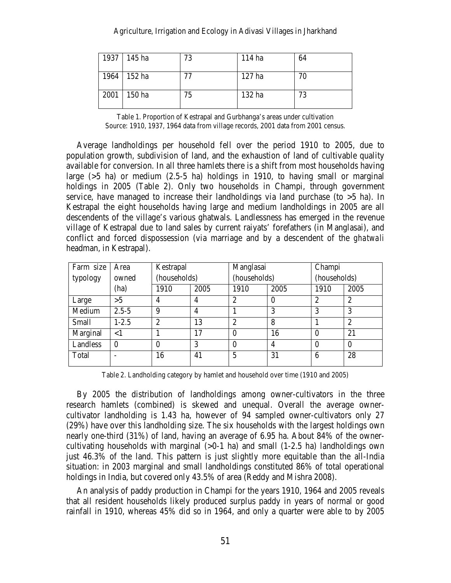| 1937 145 ha | 73 | 114 ha | 64 |
|-------------|----|--------|----|
| 1964 152 ha | 77 | 127 ha | 70 |
| 2001 150 ha | 75 | 132 ha | 73 |

Table 1. Proportion of Kestrapal and Gurbhanga's areas under cultivation Source: 1910, 1937, 1964 data from village records, 2001 data from 2001 census.

Average landholdings per household fell over the period 1910 to 2005, due to population growth, subdivision of land, and the exhaustion of land of cultivable quality available for conversion. In all three hamlets there is a shift from most households having large  $(5 \text{ ha})$  or medium  $(2.5-5 \text{ ha})$  holdings in 1910, to having small or marginal holdings in 2005 (Table 2). Only two households in Champi, through government service, have managed to increase their landholdings via land purchase (to  $>5$  ha). In Kestrapal the eight households having large and medium landholdings in 2005 are all descendents of the village's various ghatwals. Landlessness has emerged in the revenue village of Kestrapal due to land sales by current raiyats' forefathers (in Manglasai), and conflict and forced dispossession (via marriage and by a descendent of the *ghatwali* headman, in Kestrapal).

| Farm size | Area      | Kestrapal      |                | Manglasai      |          | Champi         |                |
|-----------|-----------|----------------|----------------|----------------|----------|----------------|----------------|
| typology  | owned     | (households)   |                | (households)   |          | (households)   |                |
|           | (ha)      | 1910           | 2005           | 1910           | 2005     | 1910           | 2005           |
| Large     | >5        | $\overline{4}$ | $\overline{4}$ | $\overline{2}$ | $\theta$ | $\overline{2}$ | $\overline{2}$ |
| Medium    | $2.5 - 5$ | 9              | $\overline{4}$ |                | 3        | 3              | 3              |
| Small     | $1 - 2.5$ | $\overline{2}$ | 13             | $\overline{2}$ | 8        |                | $\overline{2}$ |
| Marginal  | $<$ 1     |                | 17             | $\theta$       | 16       | $\theta$       | 21             |
| Landless  | $\Omega$  | $\theta$       | 3              | $\theta$       | 4        | $\theta$       | $\Omega$       |
| Total     |           | 16             | 41             | 5              | 31       | 6              | 28             |

Table 2. Landholding category by hamlet and household over time (1910 and 2005)

By 2005 the distribution of landholdings among owner-cultivators in the three research hamlets (combined) is skewed and unequal. Overall the average ownercultivator landholding is 1.43 ha, however of 94 sampled owner-cultivators only 27 (29%) have over this landholding size. The six households with the largest holdings own nearly one-third (31%) of land, having an average of 6.95 ha. About 84% of the ownercultivating households with marginal  $(>0.1$  ha) and small  $(1-2.5)$  ha) landholdings own just 46.3% of the land. This pattern is just slightly more equitable than the all-India situation: in 2003 marginal and small landholdings constituted 86% of total operational holdings in India, but covered only 43.5% of area (Reddy and Mishra 2008).

An analysis of paddy production in Champi for the years 1910, 1964 and 2005 reveals that all resident households likely produced surplus paddy in years of normal or good rainfall in 1910, whereas 45% did so in 1964, and only a quarter were able to by 2005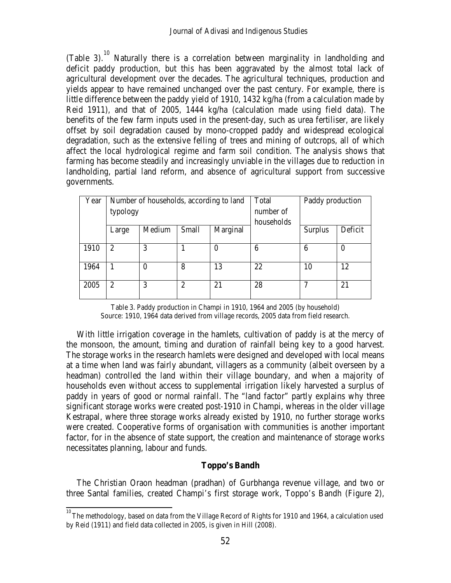(Table 3).<sup>[10](#page-9-0)</sup> Naturally there is a correlation between marginality in landholding and deficit paddy production, but this has been aggravated by the almost total lack of agricultural development over the decades. The agricultural techniques, production and yields appear to have remained unchanged over the past century. For example, there is little difference between the paddy yield of 1910, 1432 kg/ha (from a calculation made by Reid 1911), and that of 2005, 1444 kg/ha (calculation made using field data). The benefits of the few farm inputs used in the present-day, such as urea fertiliser, are likely offset by soil degradation caused by mono-cropped paddy and widespread ecological degradation, such as the extensive felling of trees and mining of outcrops, all of which affect the local hydrological regime and farm soil condition. The analysis shows that farming has become steadily and increasingly unviable in the villages due to reduction in landholding, partial land reform, and absence of agricultural support from successive governments.

| Year | Number of households, according to land |          |                |          | Total<br>Paddy production |         |         |
|------|-----------------------------------------|----------|----------------|----------|---------------------------|---------|---------|
|      | typology                                |          |                |          | number of                 |         |         |
|      |                                         |          |                |          | households                |         |         |
|      | Large                                   | Medium   | <b>Small</b>   | Marginal |                           | Surplus | Deficit |
| 1910 | $\overline{2}$                          | 3        |                | 0        | 6                         | 6       | $_{0}$  |
| 1964 | 1                                       | $\Omega$ | 8              | 13       | 22                        | 10      | 12      |
| 2005 | $\overline{2}$                          | 3        | $\overline{2}$ | 21       | 28                        |         | 21      |

Table 3. Paddy production in Champi in 1910, 1964 and 2005 (by household) Source: 1910, 1964 data derived from village records, 2005 data from field research.

With little irrigation coverage in the hamlets, cultivation of paddy is at the mercy of the monsoon, the amount, timing and duration of rainfall being key to a good harvest. The storage works in the research hamlets were designed and developed with local means at a time when land was fairly abundant, villagers as a community (albeit overseen by a headman) controlled the land within their village boundary, and when a majority of households even without access to supplemental irrigation likely harvested a surplus of paddy in years of good or normal rainfall. The "land factor" partly explains why three significant storage works were created post-1910 in Champi, whereas in the older village Kestrapal, where three storage works already existed by 1910, no further storage works were created. Cooperative forms of organisation with communities is another important factor, for in the absence of state support, the creation and maintenance of storage works necessitates planning, labour and funds.

# **Toppo's Bandh**

The Christian Oraon headman (pradhan) of Gurbhanga revenue village, and two or three Santal families, created Champi's first storage work, Toppo's Bandh (Figure 2),

<span id="page-9-0"></span>10 The methodology, based on data from the Village Record of Rights for 1910 and 1964, a calculation used by Reid (1911) and field data collected in 2005, is given in Hill (2008).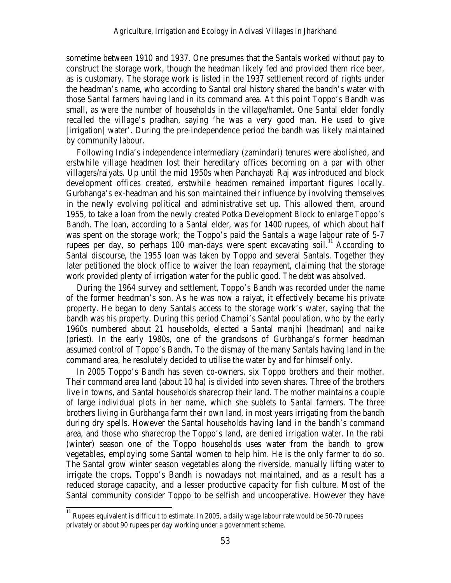sometime between 1910 and 1937. One presumes that the Santals worked without pay to construct the storage work, though the headman likely fed and provided them rice beer, as is customary. The storage work is listed in the 1937 settlement record of rights under the headman's name, who according to Santal oral history shared the bandh's water with those Santal farmers having land in its command area. At this point Toppo's Bandh was small, as were the number of households in the village/hamlet. One Santal elder fondly recalled the village's pradhan, saying 'he was a very good man. He used to give [irrigation] water'. During the pre-independence period the bandh was likely maintained by community labour.

Following India's independence intermediary (zamindari) tenures were abolished, and erstwhile village headmen lost their hereditary offices becoming on a par with other villagers/raiyats. Up until the mid 1950s when Panchayati Raj was introduced and block development offices created, erstwhile headmen remained important figures locally. Gurbhanga's ex-headman and his son maintained their influence by involving themselves in the newly evolving political and administrative set up. This allowed them, around 1955, to take a loan from the newly created Potka Development Block to enlarge Toppo's Bandh. The loan, according to a Santal elder, was for 1400 rupees, of which about half was spent on the storage work; the Toppo's paid the Santals a wage labour rate of 5-7 rupees per day, so perhaps 100 man-days were spent excavating soil.<sup>[11](#page-10-0)</sup> According to Santal discourse, the 1955 loan was taken by Toppo and several Santals. Together they later petitioned the block office to waiver the loan repayment, claiming that the storage work provided plenty of irrigation water for the public good. The debt was absolved.

During the 1964 survey and settlement, Toppo's Bandh was recorded under the name of the former headman's son. As he was now a raiyat, it effectively became his private property. He began to deny Santals access to the storage work's water, saying that the bandh was his property. During this period Champi's Santal population, who by the early 1960s numbered about 21 households, elected a Santal *manjhi* (headman) and *naike* (priest). In the early 1980s, one of the grandsons of Gurbhanga's former headman assumed control of Toppo's Bandh. To the dismay of the many Santals having land in the command area, he resolutely decided to utilise the water by and for himself only.

In 2005 Toppo's Bandh has seven co-owners, six Toppo brothers and their mother. Their command area land (about 10 ha) is divided into seven shares. Three of the brothers live in towns, and Santal households sharecrop their land. The mother maintains a couple of large individual plots in her name, which she sublets to Santal farmers. The three brothers living in Gurbhanga farm their own land, in most years irrigating from the bandh during dry spells. However the Santal households having land in the bandh's command area, and those who sharecrop the Toppo's land, are denied irrigation water. In the rabi (winter) season one of the Toppo households uses water from the bandh to grow vegetables, employing some Santal women to help him. He is the only farmer to do so. The Santal grow winter season vegetables along the riverside, manually lifting water to irrigate the crops. Toppo's Bandh is nowadays not maintained, and as a result has a reduced storage capacity, and a lesser productive capacity for fish culture. Most of the Santal community consider Toppo to be selfish and uncooperative. However they have

<span id="page-10-0"></span>11 Rupees equivalent is difficult to estimate. In 2005, a daily wage labour rate would be 50-70 rupees privately or about 90 rupees per day working under a government scheme.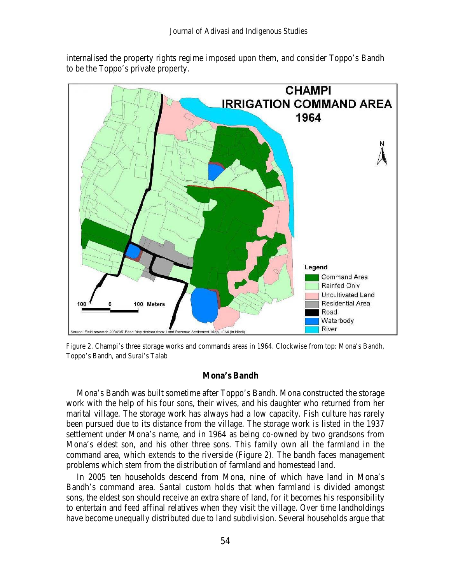internalised the property rights regime imposed upon them, and consider Toppo's Bandh to be the Toppo's private property.



Figure 2. Champi's three storage works and commands areas in 1964. Clockwise from top: Mona's Bandh, Toppo's Bandh, and Surai's Talab

#### **Mona's Bandh**

Mona's Bandh was built sometime after Toppo's Bandh. Mona constructed the storage work with the help of his four sons, their wives, and his daughter who returned from her marital village. The storage work has always had a low capacity. Fish culture has rarely been pursued due to its distance from the village. The storage work is listed in the 1937 settlement under Mona's name, and in 1964 as being co-owned by two grandsons from Mona's eldest son, and his other three sons. This family own all the farmland in the command area, which extends to the riverside (Figure 2). The bandh faces management problems which stem from the distribution of farmland and homestead land.

In 2005 ten households descend from Mona, nine of which have land in Mona's Bandh's command area. Santal custom holds that when farmland is divided amongst sons, the eldest son should receive an extra share of land, for it becomes his responsibility to entertain and feed affinal relatives when they visit the village. Over time landholdings have become unequally distributed due to land subdivision. Several households argue that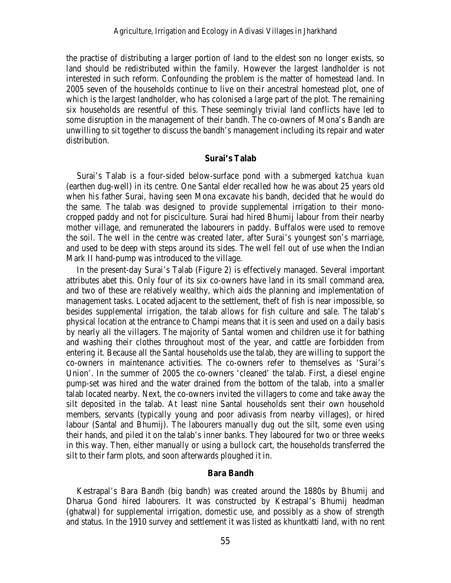the practise of distributing a larger portion of land to the eldest son no longer exists, so land should be redistributed within the family. However the largest landholder is not interested in such reform. Confounding the problem is the matter of homestead land. In 2005 seven of the households continue to live on their ancestral homestead plot, one of which is the largest landholder, who has colonised a large part of the plot. The remaining six households are resentful of this. These seemingly trivial land conflicts have led to some disruption in the management of their bandh. The co-owners of Mona's Bandh are unwilling to sit together to discuss the bandh's management including its repair and water distribution.

## **Surai's Talab**

Surai's Talab is a four-sided below-surface pond with a submerged *katchua kuan* (earthen dug-well) in its centre. One Santal elder recalled how he was about 25 years old when his father Surai, having seen Mona excavate his bandh, decided that he would do the same. The talab was designed to provide supplemental irrigation to their monocropped paddy and not for pisciculture. Surai had hired Bhumij labour from their nearby mother village, and remunerated the labourers in paddy. Buffalos were used to remove the soil. The well in the centre was created later, after Surai's youngest son's marriage, and used to be deep with steps around its sides. The well fell out of use when the Indian Mark II hand-pump was introduced to the village.

In the present-day Surai's Talab (Figure 2) is effectively managed. Several important attributes abet this. Only four of its six co-owners have land in its small command area, and two of these are relatively wealthy, which aids the planning and implementation of management tasks. Located adjacent to the settlement, theft of fish is near impossible, so besides supplemental irrigation, the talab allows for fish culture and sale. The talab's physical location at the entrance to Champi means that it is seen and used on a daily basis by nearly all the villagers. The majority of Santal women and children use it for bathing and washing their clothes throughout most of the year, and cattle are forbidden from entering it. Because all the Santal households use the talab, they are willing to support the co-owners in maintenance activities. The co-owners refer to themselves as 'Surai's Union'. In the summer of 2005 the co-owners 'cleaned' the talab. First, a diesel engine pump-set was hired and the water drained from the bottom of the talab, into a smaller talab located nearby. Next, the co-owners invited the villagers to come and take away the silt deposited in the talab. At least nine Santal households sent their own household members, servants (typically young and poor adivasis from nearby villages), or hired labour (Santal and Bhumij). The labourers manually dug out the silt, some even using their hands, and piled it on the talab's inner banks. They laboured for two or three weeks in this way. Then, either manually or using a bullock cart, the households transferred the silt to their farm plots, and soon afterwards ploughed it in.

# **Bara Bandh**

Kestrapal's Bara Bandh (big bandh) was created around the 1880s by Bhumij and Dharua Gond hired labourers. It was constructed by Kestrapal's Bhumij headman (ghatwal) for supplemental irrigation, domestic use, and possibly as a show of strength and status. In the 1910 survey and settlement it was listed as khuntkatti land, with no rent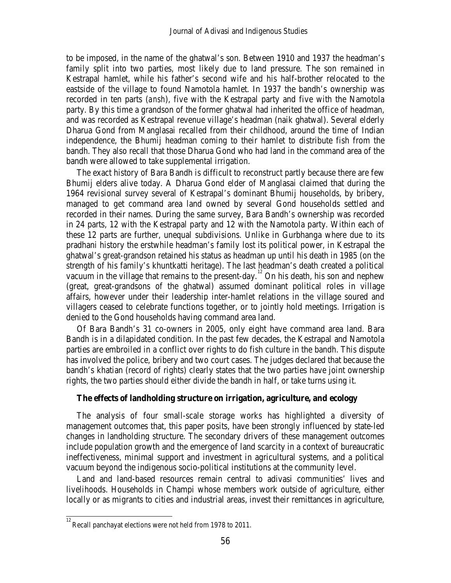to be imposed, in the name of the ghatwal's son. Between 1910 and 1937 the headman's family split into two parties, most likely due to land pressure. The son remained in Kestrapal hamlet, while his father's second wife and his half-brother relocated to the eastside of the village to found Namotola hamlet. In 1937 the bandh's ownership was recorded in ten parts (*ansh*), five with the Kestrapal party and five with the Namotola party. By this time a grandson of the former ghatwal had inherited the office of headman, and was recorded as Kestrapal revenue village's headman (naik ghatwal). Several elderly Dharua Gond from Manglasai recalled from their childhood, around the time of Indian independence, the Bhumij headman coming to their hamlet to distribute fish from the bandh. They also recall that those Dharua Gond who had land in the command area of the bandh were allowed to take supplemental irrigation.

The exact history of Bara Bandh is difficult to reconstruct partly because there are few Bhumij elders alive today. A Dharua Gond elder of Manglasai claimed that during the 1964 revisional survey several of Kestrapal's dominant Bhumij households, by bribery, managed to get command area land owned by several Gond households settled and recorded in their names. During the same survey, Bara Bandh's ownership was recorded in 24 parts, 12 with the Kestrapal party and 12 with the Namotola party. Within each of these 12 parts are further, unequal subdivisions. Unlike in Gurbhanga where due to its pradhani history the erstwhile headman's family lost its political power, in Kestrapal the ghatwal's great-grandson retained his status as headman up until his death in 1985 (on the strength of his family's khuntkatti heritage). The last headman's death created a political vacuum in the village that remains to the present-day.<sup>[12](#page-13-0)</sup> On his death, his son and nephew (great, great-grandsons of the ghatwal) assumed dominant political roles in village affairs, however under their leadership inter-hamlet relations in the village soured and villagers ceased to celebrate functions together, or to jointly hold meetings. Irrigation is denied to the Gond households having command area land.

Of Bara Bandh's 31 co-owners in 2005, only eight have command area land. Bara Bandh is in a dilapidated condition. In the past few decades, the Kestrapal and Namotola parties are embroiled in a conflict over rights to do fish culture in the bandh. This dispute has involved the police, bribery and two court cases. The judges declared that because the bandh's khatian (record of rights) clearly states that the two parties have joint ownership rights, the two parties should either divide the bandh in half, or take turns using it.

## **The effects of landholding structure on irrigation, agriculture, and ecology**

The analysis of four small-scale storage works has highlighted a diversity of management outcomes that, this paper posits, have been strongly influenced by state-led changes in landholding structure. The secondary drivers of these management outcomes include population growth and the emergence of land scarcity in a context of bureaucratic ineffectiveness, minimal support and investment in agricultural systems, and a political vacuum beyond the indigenous socio-political institutions at the community level.

Land and land-based resources remain central to adivasi communities' lives and livelihoods. Households in Champi whose members work outside of agriculture, either locally or as migrants to cities and industrial areas, invest their remittances in agriculture,

<span id="page-13-0"></span>12 Recall panchayat elections were not held from 1978 to 2011.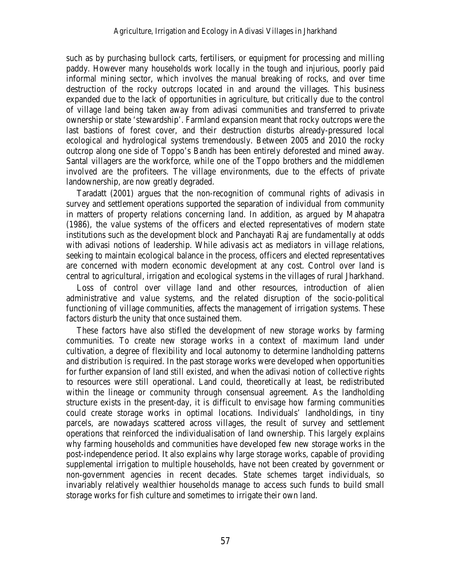such as by purchasing bullock carts, fertilisers, or equipment for processing and milling paddy. However many households work locally in the tough and injurious, poorly paid informal mining sector, which involves the manual breaking of rocks, and over time destruction of the rocky outcrops located in and around the villages. This business expanded due to the lack of opportunities in agriculture, but critically due to the control of village land being taken away from adivasi communities and transferred to private ownership or state 'stewardship'. Farmland expansion meant that rocky outcrops were the last bastions of forest cover, and their destruction disturbs already-pressured local ecological and hydrological systems tremendously. Between 2005 and 2010 the rocky outcrop along one side of Toppo's Bandh has been entirely deforested and mined away. Santal villagers are the workforce, while one of the Toppo brothers and the middlemen involved are the profiteers. The village environments, due to the effects of private landownership, are now greatly degraded.

Taradatt (2001) argues that the non-recognition of communal rights of adivasis in survey and settlement operations supported the separation of individual from community in matters of property relations concerning land. In addition, as argued by Mahapatra (1986), the value systems of the officers and elected representatives of modern state institutions such as the development block and Panchayati Raj are fundamentally at odds with adivasi notions of leadership. While adivasis act as mediators in village relations, seeking to maintain ecological balance in the process, officers and elected representatives are concerned with modern economic development at any cost. Control over land is central to agricultural, irrigation and ecological systems in the villages of rural Jharkhand.

Loss of control over village land and other resources, introduction of alien administrative and value systems, and the related disruption of the socio-political functioning of village communities, affects the management of irrigation systems. These factors disturb the unity that once sustained them.

These factors have also stifled the development of new storage works by farming communities. To create new storage works in a context of maximum land under cultivation, a degree of flexibility and local autonomy to determine landholding patterns and distribution is required. In the past storage works were developed when opportunities for further expansion of land still existed, and when the adivasi notion of collective rights to resources were still operational. Land could, theoretically at least, be redistributed within the lineage or community through consensual agreement. As the landholding structure exists in the present-day, it is difficult to envisage how farming communities could create storage works in optimal locations. Individuals' landholdings, in tiny parcels, are nowadays scattered across villages, the result of survey and settlement operations that reinforced the individualisation of land ownership. This largely explains why farming households and communities have developed few new storage works in the post-independence period. It also explains why large storage works, capable of providing supplemental irrigation to multiple households, have not been created by government or non-government agencies in recent decades. State schemes target individuals, so invariably relatively wealthier households manage to access such funds to build small storage works for fish culture and sometimes to irrigate their own land.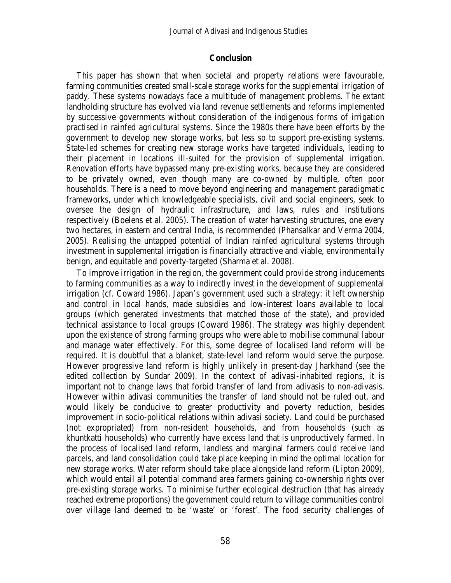### **Conclusion**

This paper has shown that when societal and property relations were favourable, farming communities created small-scale storage works for the supplemental irrigation of paddy. These systems nowadays face a multitude of management problems. The extant landholding structure has evolved via land revenue settlements and reforms implemented by successive governments without consideration of the indigenous forms of irrigation practised in rainfed agricultural systems. Since the 1980s there have been efforts by the government to develop new storage works, but less so to support pre-existing systems. State-led schemes for creating new storage works have targeted individuals, leading to their placement in locations ill-suited for the provision of supplemental irrigation. Renovation efforts have bypassed many pre-existing works, because they are considered to be privately owned, even though many are co-owned by multiple, often poor households. There is a need to move beyond engineering and management paradigmatic frameworks, under which knowledgeable specialists, civil and social engineers, seek to oversee the design of hydraulic infrastructure, and laws, rules and institutions respectively (Boelens et al. 2005). The creation of water harvesting structures, one every two hectares, in eastern and central India, is recommended (Phansalkar and Verma 2004, 2005). Realising the untapped potential of Indian rainfed agricultural systems through investment in supplemental irrigation is financially attractive and viable, environmentally benign, and equitable and poverty-targeted (Sharma et al. 2008).

To improve irrigation in the region, the government could provide strong inducements to farming communities as a way to indirectly invest in the development of supplemental irrigation (cf. Coward 1986). Japan's government used such a strategy: it left ownership and control in local hands, made subsidies and low-interest loans available to local groups (which generated investments that matched those of the state), and provided technical assistance to local groups (Coward 1986). The strategy was highly dependent upon the existence of strong farming groups who were able to mobilise communal labour and manage water effectively. For this, some degree of localised land reform will be required. It is doubtful that a blanket, state-level land reform would serve the purpose. However progressive land reform is highly unlikely in present-day Jharkhand (see the edited collection by Sundar 2009). In the context of adivasi-inhabited regions, it is important not to change laws that forbid transfer of land from adivasis to non-adivasis. However within adivasi communities the transfer of land should not be ruled out, and would likely be conducive to greater productivity and poverty reduction, besides improvement in socio-political relations within adivasi society. Land could be purchased (not expropriated) from non-resident households, and from households (such as khuntkatti households) who currently have excess land that is unproductively farmed. In the process of localised land reform, landless and marginal farmers could receive land parcels, and land consolidation could take place keeping in mind the optimal location for new storage works. Water reform should take place alongside land reform (Lipton 2009), which would entail all potential command area farmers gaining co-ownership rights over pre-existing storage works. To minimise further ecological destruction (that has already reached extreme proportions) the government could return to village communities control over village land deemed to be 'waste' or 'forest'. The food security challenges of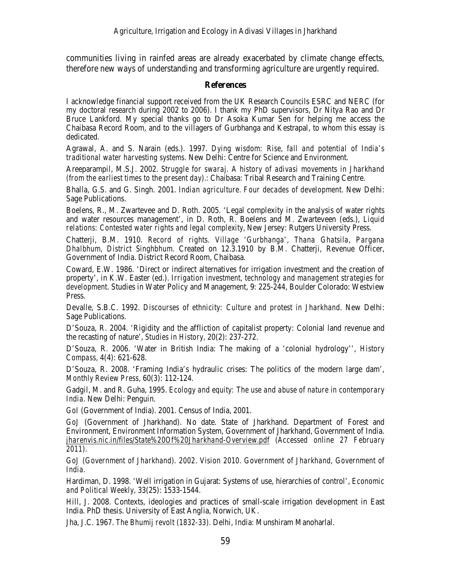communities living in rainfed areas are already exacerbated by climate change effects, therefore new ways of understanding and transforming agriculture are urgently required.

## **References**

I acknowledge financial support received from the UK Research Councils ESRC and NERC (for my doctoral research during 2002 to 2006). I thank my PhD supervisors, Dr Nitya Rao and Dr Bruce Lankford. My special thanks go to Dr Asoka Kumar Sen for helping me access the Chaibasa Record Room, and to the villagers of Gurbhanga and Kestrapal, to whom this essay is dedicated.

Agrawal, A. and S. Narain (eds.). 1997. *Dying wisdom: Rise, fall and potential of India's traditional water harvesting systems.* New Delhi: Centre for Science and Environment.

Areeparampil, M.S.J. 2002. *Struggle for swaraj. A history of adivasi movements in Jharkhand (from the earliest times to the present day).*: Chaibasa: Tribal Research and Training Centre.

Bhalla, G.S. and G. Singh. 2001. *Indian agriculture. Four decades of development.* New Delhi: Sage Publications.

Boelens, R., M. Zwartevee and D. Roth. 2005. 'Legal complexity in the analysis of water rights and water resources management', in D. Roth, R. Boelens and M. Zwarteveen (eds.), *Liquid relations: Contested water rights and legal complexity,* New Jersey: Rutgers University Press.

Chatterji, B.M. 1910. *Record of rights. Village 'Gurbhanga', Thana Ghatsila, Pargana Dhalbhum, District Singhbhum.* Created on 12.3.1910 by B.M. Chatterji, Revenue Officer, Government of India. District Record Room, Chaibasa.

Coward, E.W. 1986. 'Direct or indirect alternatives for irrigation investment and the creation of property', in K.W. Easter (ed.). *Irrigation investment, technology and management strategies for development.* Studies in Water Policy and Management, 9: 225-244, Boulder Colorado: Westview Press.

Devalle, S.B.C. 1992. *Discourses of ethnicity: Culture and protest in Jharkhand.* New Delhi: Sage Publications.

D'Souza, R. 2004. 'Rigidity and the affliction of capitalist property: Colonial land revenue and the recasting of nature', *Studies in History,* 20(2): 237-272.

D'Souza, R. 2006. 'Water in British India: The making of a 'colonial hydrology'', *History Compass,* 4(4): 621-628.

D'Souza, R. 2008. 'Framing India's hydraulic crises: The politics of the modern large dam', *Monthly Review Press,* 60(3): 112-124.

Gadgil, M. and R. Guha, 1995. *Ecology and equity: The use and abuse of nature in contemporary India.* New Delhi: Penguin.

*GoI* (Government of India). 2001. Census of India, 2001.

*GoJ* (Government of Jharkhand). No date. State of Jharkhand. Department of Forest and Environment, Environment Information System, Government of Jharkhand, Government of India. *jharenvis.nic.in/files/State%20Of%20Jharkhand-Overview.pdf (Accessed online 27 February 2011).*

GoJ (Government of Jharkhand). 2002. Vision 2010. Government of Jharkhand, Government of *India.*

Hardiman, D. 1998. 'Well irrigation in Gujarat: Systems of use, hierarchies of control', *Economic and Political Weekly,* 33(25): 1533-1544.

Hill, J. 2008. Contexts, ideologies and practices of small-scale irrigation development in East India. PhD thesis. University of East Anglia, Norwich, UK.

Jha, J.C. 1967. *The Bhumij revolt (1832-33).* Delhi, India: Munshiram Manoharlal.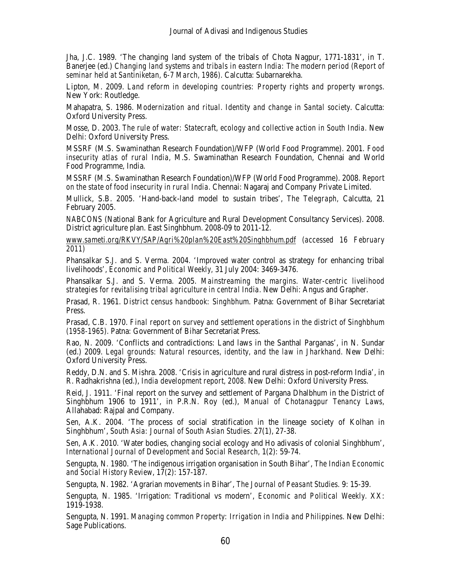Jha, J.C. 1989. 'The changing land system of the tribals of Chota Nagpur, 1771-1831', in T. Banerjee (ed.) *Changing land systems and tribals in eastern India: The modern period (Report of seminar held at Santiniketan, 6-7 March, 1986).* Calcutta: Subarnarekha.

Lipton, M. 2009. *Land reform in developing countries: Property rights and property wrongs.*  New York: Routledge.

Mahapatra, S. 1986. *Modernization and ritual. Identity and change in Santal society*. Calcutta: Oxford University Press.

Mosse, D. 2003. *The rule of water: Statecraft, ecology and collective action in South India.* New Delhi: Oxford University Press.

MSSRF (M.S. Swaminathan Research Foundation)/WFP (World Food Programme). 2001. *Food insecurity atlas of rural India,* M.S. Swaminathan Research Foundation, Chennai and World Food Programme, India.

MSSRF (M.S. Swaminathan Research Foundation)/WFP (World Food Programme). 2008. *Report on the state of food insecurity in rural India.* Chennai: Nagaraj and Company Private Limited.

Mullick, S.B. 2005. 'Hand-back-land model to sustain tribes', *The Telegraph,* Calcutta, 21 February 2005.

*NABCONS* (National Bank for Agriculture and Rural Development Consultancy Services). 2008. District agriculture plan. East Singhbhum. 2008-09 to 2011-12*.*

*www.sameti.org/RKVY/SAP/Agri%20plan%20East%20Singhbhum.pdf (accessed 16 February 2011)*

Phansalkar S.J. and S. Verma. 2004. 'Improved water control as strategy for enhancing tribal livelihoods', *Economic and Political Weekly,* 31 July 2004: 3469-3476.

Phansalkar S.J. and S. Verma. 2005. *Mainstreaming the margins. Water-centric livelihood strategies for revitalising tribal agriculture in central India.* New Delhi: Angus and Grapher.

Prasad, R. 1961. *District census handbook: Singhbhum.* Patna: Government of Bihar Secretariat Press.

Prasad, C.B. 1970. *Final report on survey and settlement operations in the district of Singhbhum (1958-1965).* Patna: Government of Bihar Secretariat Press.

Rao, N. 2009. 'Conflicts and contradictions: Land laws in the Santhal Parganas', in N. Sundar (ed.) 2009. *Legal grounds: Natural resources, identity, and the law in Jharkhand.* New Delhi: Oxford University Press.

Reddy, D.N. and S. Mishra. 2008. 'Crisis in agriculture and rural distress in post-reform India', in R. Radhakrishna (ed.), *India development report, 2008.* New Delhi: Oxford University Press.

Reid, J. 1911. 'Final report on the survey and settlement of Pargana Dhalbhum in the District of Singhbhum 1906 to 1911', in P.R.N. Roy (ed.), *Manual of Chotanagpur Tenancy Laws,* Allahabad: Rajpal and Company.

Sen, A.K. 2004. 'The process of social stratification in the lineage society of Kolhan in Singhbhum', *South Asia: Journal of South Asian Studies.* 27(1), 27-38.

Sen, A.K. 2010. 'Water bodies, changing social ecology and Ho adivasis of colonial Singhbhum', *International Journal of Development and Social Research,* 1(2): 59-74.

Sengupta, N. 1980. 'The indigenous irrigation organisation in South Bihar', *The Indian Economic and Social History Review*, 17(2): 157-187.

Sengupta, N. 1982. 'Agrarian movements in Bihar', *The Journal of Peasant Studies.* 9: 15-39.

Sengupta, N. 1985. 'Irrigation: Traditional vs modern', *Economic and Political Weekly.* XX: 1919-1938.

Sengupta, N. 1991. *Managing common Property: Irrigation in India and Philippines.* New Delhi: Sage Publications.